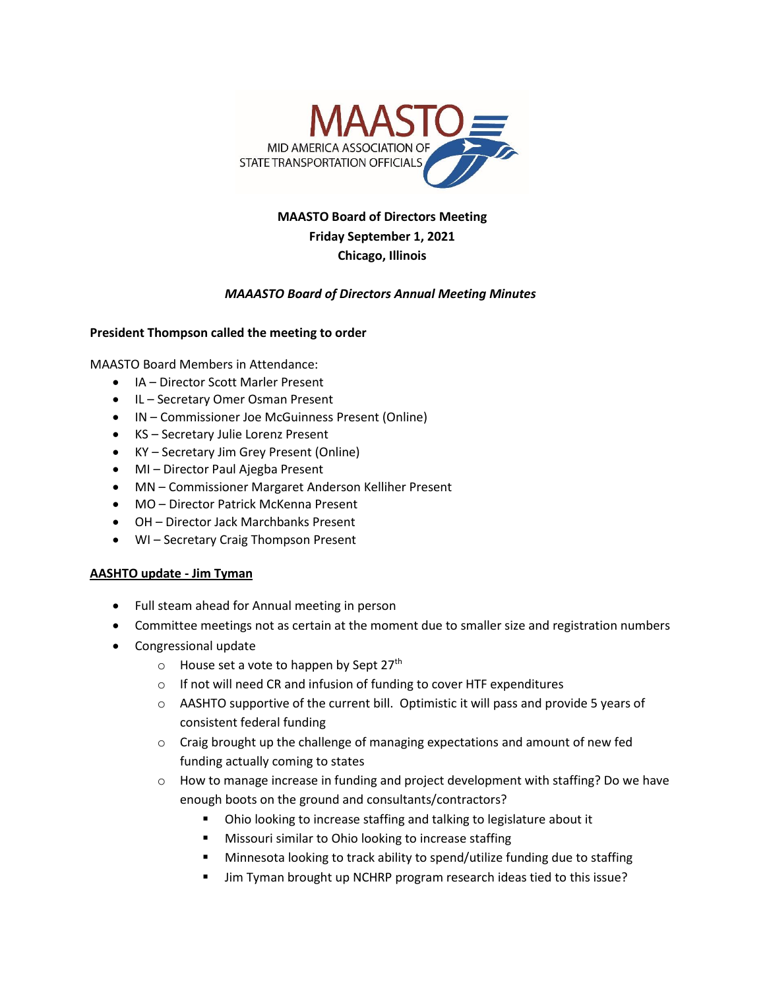

# **MAASTO Board of Directors Meeting Friday September 1, 2021 Chicago, Illinois**

## *MAAASTO Board of Directors Annual Meeting Minutes*

### **President Thompson called the meeting to order**

MAASTO Board Members in Attendance:

- IA Director Scott Marler Present
- IL Secretary Omer Osman Present
- IN Commissioner Joe McGuinness Present (Online)
- KS Secretary Julie Lorenz Present
- KY Secretary Jim Grey Present (Online)
- MI Director Paul Ajegba Present
- MN Commissioner Margaret Anderson Kelliher Present
- MO Director Patrick McKenna Present
- OH Director Jack Marchbanks Present
- WI Secretary Craig Thompson Present

### **AASHTO update - Jim Tyman**

- Full steam ahead for Annual meeting in person
- Committee meetings not as certain at the moment due to smaller size and registration numbers
- Congressional update
	- o House set a vote to happen by Sept 27th
	- o If not will need CR and infusion of funding to cover HTF expenditures
	- o AASHTO supportive of the current bill. Optimistic it will pass and provide 5 years of consistent federal funding
	- $\circ$  Craig brought up the challenge of managing expectations and amount of new fed funding actually coming to states
	- $\circ$  How to manage increase in funding and project development with staffing? Do we have enough boots on the ground and consultants/contractors?
		- Ohio looking to increase staffing and talking to legislature about it
		- Missouri similar to Ohio looking to increase staffing
		- Minnesota looking to track ability to spend/utilize funding due to staffing
		- Jim Tyman brought up NCHRP program research ideas tied to this issue?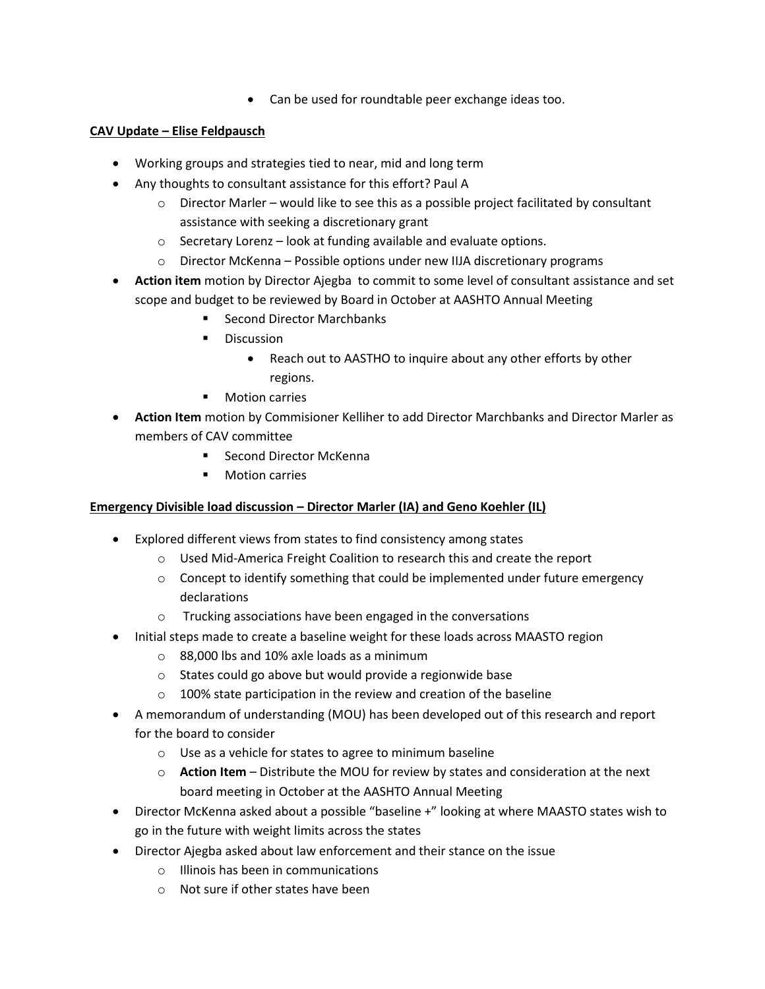• Can be used for roundtable peer exchange ideas too.

# **CAV Update – Elise Feldpausch**

- Working groups and strategies tied to near, mid and long term
- Any thoughts to consultant assistance for this effort? Paul A
	- $\circ$  Director Marler would like to see this as a possible project facilitated by consultant assistance with seeking a discretionary grant
	- o Secretary Lorenz look at funding available and evaluate options.
	- o Director McKenna Possible options under new IIJA discretionary programs
- **Action item** motion by Director Ajegba to commit to some level of consultant assistance and set scope and budget to be reviewed by Board in October at AASHTO Annual Meeting
	- Second Director Marchbanks
	- Discussion
		- Reach out to AASTHO to inquire about any other efforts by other regions.
	- Motion carries
- **Action Item** motion by Commisioner Kelliher to add Director Marchbanks and Director Marler as members of CAV committee
	- Second Director McKenna
	- Motion carries

# **Emergency Divisible load discussion – Director Marler (IA) and Geno Koehler (IL)**

- Explored different views from states to find consistency among states
	- o Used Mid-America Freight Coalition to research this and create the report
	- $\circ$  Concept to identify something that could be implemented under future emergency declarations
	- o Trucking associations have been engaged in the conversations
- Initial steps made to create a baseline weight for these loads across MAASTO region
	- o 88,000 lbs and 10% axle loads as a minimum
	- o States could go above but would provide a regionwide base
	- o 100% state participation in the review and creation of the baseline
- A memorandum of understanding (MOU) has been developed out of this research and report for the board to consider
	- o Use as a vehicle for states to agree to minimum baseline
	- o **Action Item** Distribute the MOU for review by states and consideration at the next board meeting in October at the AASHTO Annual Meeting
- Director McKenna asked about a possible "baseline +" looking at where MAASTO states wish to go in the future with weight limits across the states
- Director Ajegba asked about law enforcement and their stance on the issue
	- o Illinois has been in communications
	- o Not sure if other states have been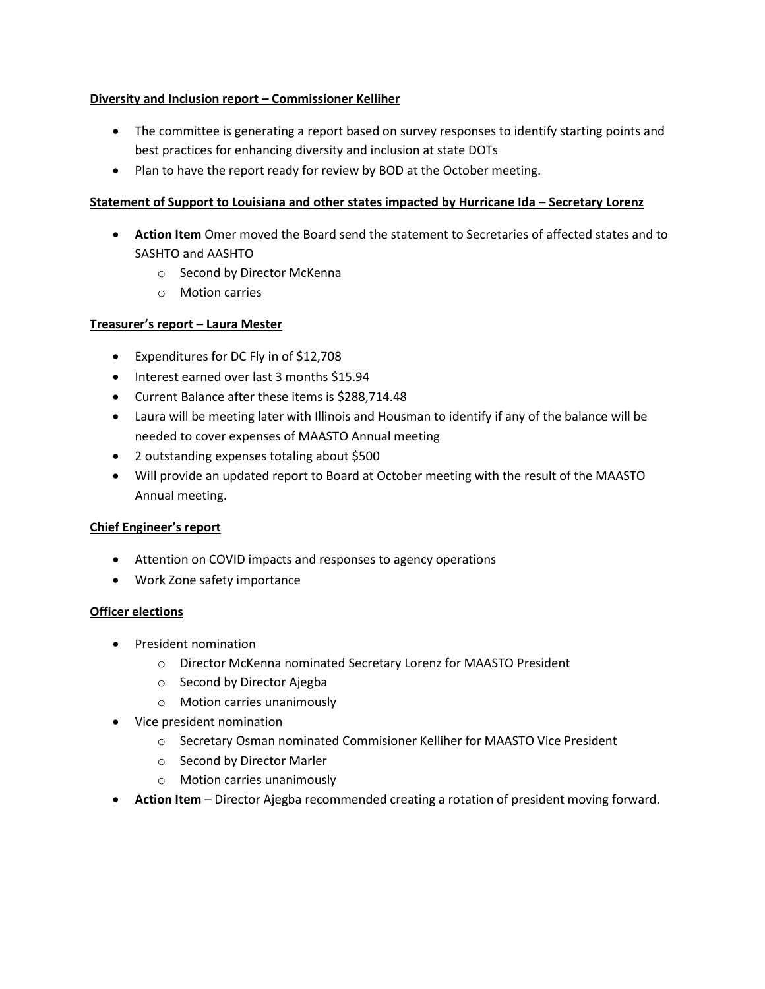## **Diversity and Inclusion report – Commissioner Kelliher**

- The committee is generating a report based on survey responses to identify starting points and best practices for enhancing diversity and inclusion at state DOTs
- Plan to have the report ready for review by BOD at the October meeting.

## **Statement of Support to Louisiana and other states impacted by Hurricane Ida – Secretary Lorenz**

- **Action Item** Omer moved the Board send the statement to Secretaries of affected states and to SASHTO and AASHTO
	- o Second by Director McKenna
	- o Motion carries

## **Treasurer's report – Laura Mester**

- Expenditures for DC Fly in of \$12,708
- Interest earned over last 3 months \$15.94
- Current Balance after these items is \$288,714.48
- Laura will be meeting later with Illinois and Housman to identify if any of the balance will be needed to cover expenses of MAASTO Annual meeting
- 2 outstanding expenses totaling about \$500
- Will provide an updated report to Board at October meeting with the result of the MAASTO Annual meeting.

### **Chief Engineer's report**

- Attention on COVID impacts and responses to agency operations
- Work Zone safety importance

### **Officer elections**

- President nomination
	- o Director McKenna nominated Secretary Lorenz for MAASTO President
	- o Second by Director Ajegba
	- o Motion carries unanimously
- Vice president nomination
	- o Secretary Osman nominated Commisioner Kelliher for MAASTO Vice President
	- o Second by Director Marler
	- o Motion carries unanimously
- **Action Item** Director Ajegba recommended creating a rotation of president moving forward.